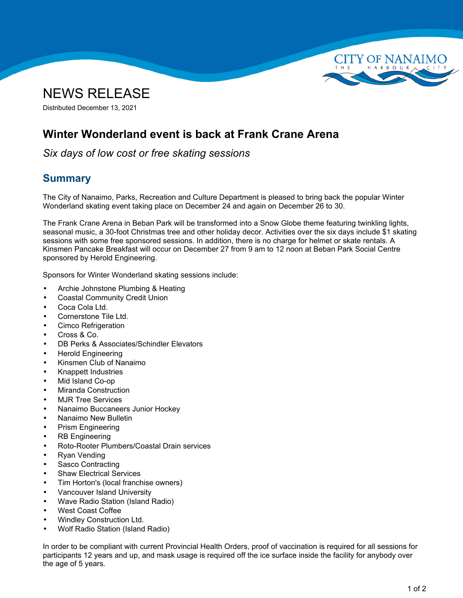



Distributed December 13, 2021

## **Winter Wonderland event is back at Frank Crane Arena**

*Six days of low cost or free skating sessions*

## **Summary**

The City of Nanaimo, Parks, Recreation and Culture Department is pleased to bring back the popular Winter Wonderland skating event taking place on December 24 and again on December 26 to 30.

The Frank Crane Arena in Beban Park will be transformed into <sup>a</sup> Snow Globe theme featuring twinkling lights, seasonal music, <sup>a</sup> 30-foot Christmas tree and other holiday decor. Activities over the six days include \$1 skating sessions with some free sponsored sessions. In addition, there is no charge for helmet or skate rentals. A Kinsmen Pancake Breakfast will occur on December 27 from 9 am to 12 noon at Beban Park Social Centre sponsored by Herold Engineering.

Sponsors for Winter Wonderland skating sessions include:

- •Archie Johnstone Plumbing & Heating
- •Coastal Community Credit Union
- •Coca Cola Ltd.
- •Cornerstone Tile Ltd.
- •Cimco Refrigeration
- •Cross & Co.
- •DB Perks & Associates/Schindler Elevators
- •Herold Engineering
- •Kinsmen Club of Nanaimo
- •Knappett Industries
- •Mid Island Co-op
- •Miranda Construction
- •MJR Tree Services
- •Nanaimo Buccaneers Junior Hockey
- •Nanaimo New Bulletin
- •Prism Engineering
- •RB Engineering
- •Roto-Rooter Plumbers/Coastal Drain services
- •Ryan Vending
- •Sasco Contracting
- •Shaw Electrical Services
- •Tim Horton's (local franchise owners)
- •Vancouver Island University
- •Wave Radio Station (Island Radio)
- •West Coast Coffee
- •Windley Construction Ltd.
- •Wolf Radio Station (Island Radio)

In order to be compliant with current Provincial Health Orders, proof of vaccination is required for all sessions for participants 12 years and up, and mask usage is required off the ice surface inside the facility for anybody over the age of 5 years.